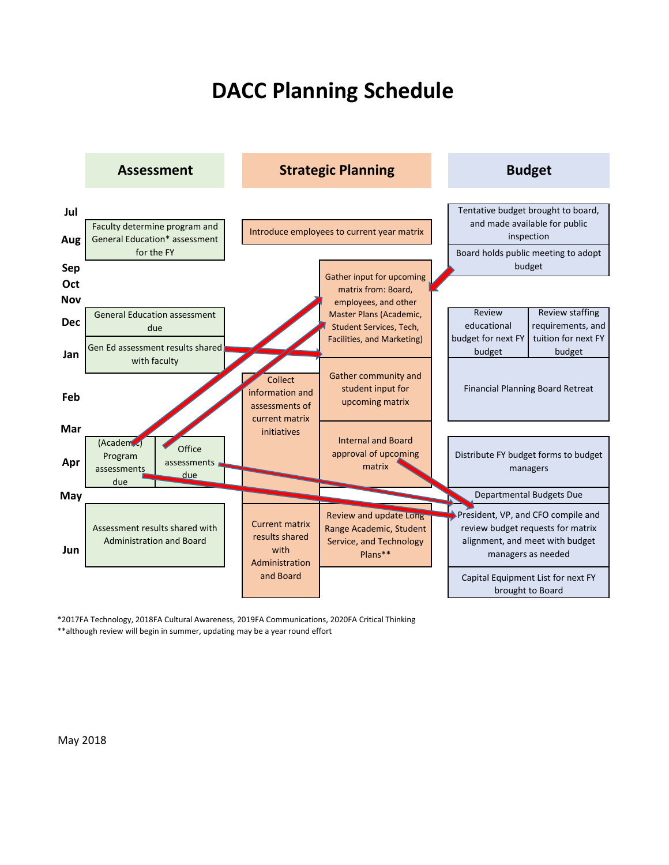## **DACC Planning Schedule**



\*2017FA Technology, 2018FA Cultural Awareness, 2019FA Communications, 2020FA Critical Thinking

\*\*although review will begin in summer, updating may be a year round effort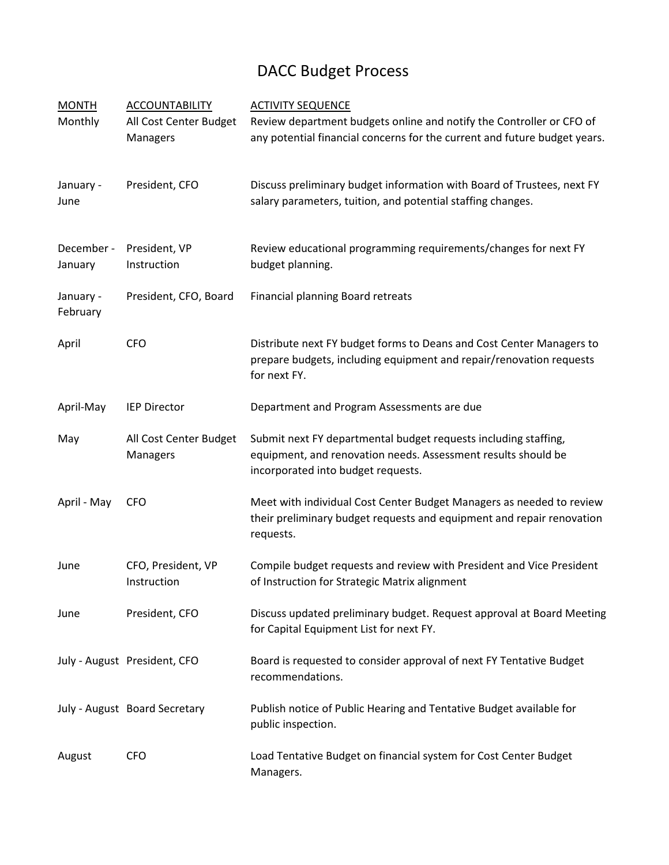## DACC Budget Process

| <b>MONTH</b><br>Monthly | <b>ACCOUNTABILITY</b><br>All Cost Center Budget<br>Managers | <b>ACTIVITY SEQUENCE</b><br>Review department budgets online and notify the Controller or CFO of<br>any potential financial concerns for the current and future budget years. |
|-------------------------|-------------------------------------------------------------|-------------------------------------------------------------------------------------------------------------------------------------------------------------------------------|
| January -<br>June       | President, CFO                                              | Discuss preliminary budget information with Board of Trustees, next FY<br>salary parameters, tuition, and potential staffing changes.                                         |
| December -<br>January   | President, VP<br>Instruction                                | Review educational programming requirements/changes for next FY<br>budget planning.                                                                                           |
| January -<br>February   | President, CFO, Board                                       | Financial planning Board retreats                                                                                                                                             |
| April                   | <b>CFO</b>                                                  | Distribute next FY budget forms to Deans and Cost Center Managers to<br>prepare budgets, including equipment and repair/renovation requests<br>for next FY.                   |
| April-May               | <b>IEP Director</b>                                         | Department and Program Assessments are due                                                                                                                                    |
| May                     | All Cost Center Budget<br>Managers                          | Submit next FY departmental budget requests including staffing,<br>equipment, and renovation needs. Assessment results should be<br>incorporated into budget requests.        |
| April - May             | <b>CFO</b>                                                  | Meet with individual Cost Center Budget Managers as needed to review<br>their preliminary budget requests and equipment and repair renovation<br>requests.                    |
| June                    | CFO, President, VP<br>Instruction                           | Compile budget requests and review with President and Vice President<br>of Instruction for Strategic Matrix alignment                                                         |
| June                    | President, CFO                                              | Discuss updated preliminary budget. Request approval at Board Meeting<br>for Capital Equipment List for next FY.                                                              |
|                         | July - August President, CFO                                | Board is requested to consider approval of next FY Tentative Budget<br>recommendations.                                                                                       |
|                         | July - August Board Secretary                               | Publish notice of Public Hearing and Tentative Budget available for<br>public inspection.                                                                                     |
| August                  | <b>CFO</b>                                                  | Load Tentative Budget on financial system for Cost Center Budget<br>Managers.                                                                                                 |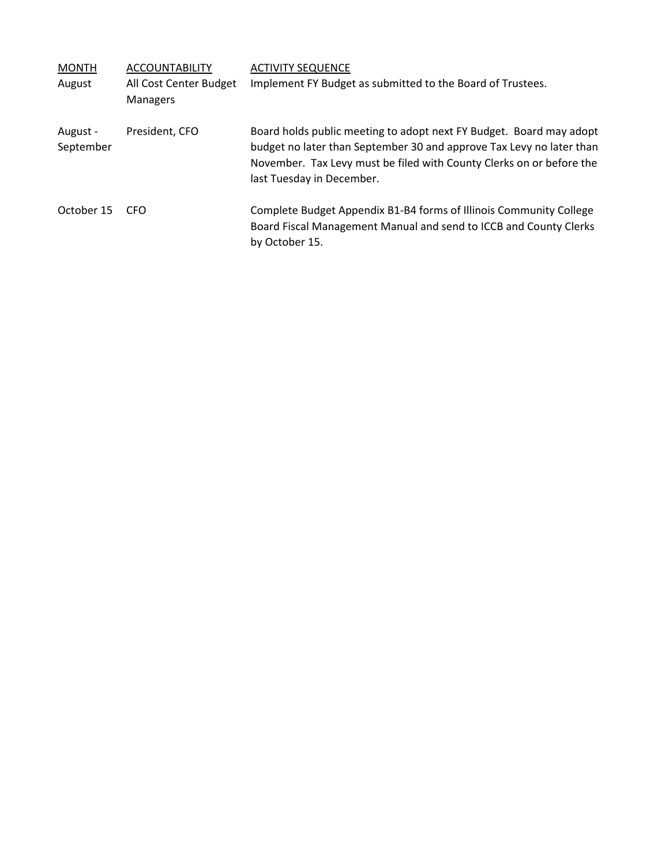| <b>MONTH</b>          | <b>ACCOUNTABILITY</b>                     | <b>ACTIVITY SEQUENCE</b>                                                                                                                                                                                                                         |
|-----------------------|-------------------------------------------|--------------------------------------------------------------------------------------------------------------------------------------------------------------------------------------------------------------------------------------------------|
| August                | All Cost Center Budget<br><b>Managers</b> | Implement FY Budget as submitted to the Board of Trustees.                                                                                                                                                                                       |
| August -<br>September | President, CFO                            | Board holds public meeting to adopt next FY Budget. Board may adopt<br>budget no later than September 30 and approve Tax Levy no later than<br>November. Tax Levy must be filed with County Clerks on or before the<br>last Tuesday in December. |
| October 15            | CFO                                       | Complete Budget Appendix B1-B4 forms of Illinois Community College<br>Board Fiscal Management Manual and send to ICCB and County Clerks<br>by October 15.                                                                                        |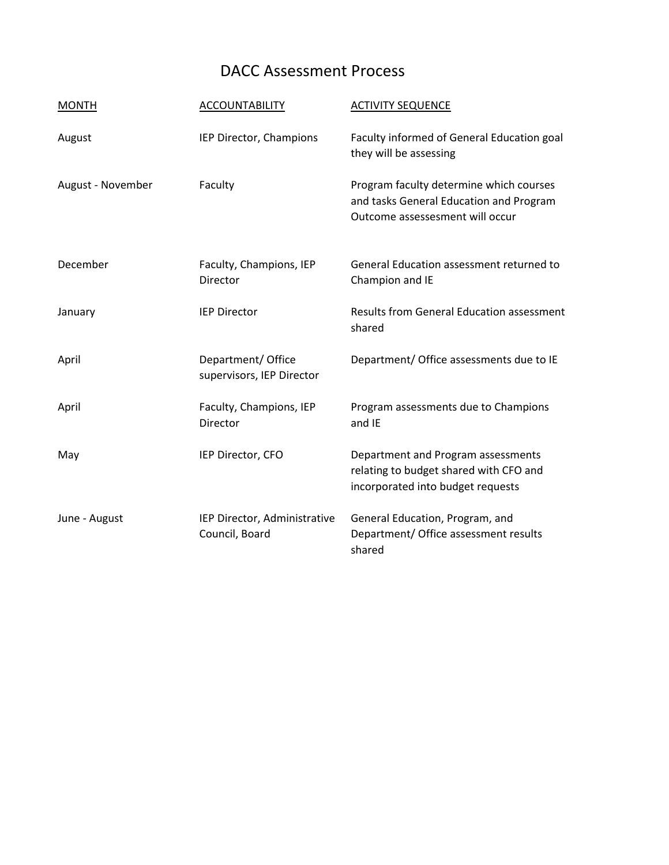## DACC Assessment Process

| <b>MONTH</b>      | <b>ACCOUNTABILITY</b>                           | <b>ACTIVITY SEQUENCE</b>                                                                                              |
|-------------------|-------------------------------------------------|-----------------------------------------------------------------------------------------------------------------------|
| August            | IEP Director, Champions                         | Faculty informed of General Education goal<br>they will be assessing                                                  |
| August - November | Faculty                                         | Program faculty determine which courses<br>and tasks General Education and Program<br>Outcome assessesment will occur |
| December          | Faculty, Champions, IEP<br>Director             | General Education assessment returned to<br>Champion and IE                                                           |
| January           | <b>IEP Director</b>                             | <b>Results from General Education assessment</b><br>shared                                                            |
| April             | Department/ Office<br>supervisors, IEP Director | Department/ Office assessments due to IE                                                                              |
| April             | Faculty, Champions, IEP<br>Director             | Program assessments due to Champions<br>and IE                                                                        |
| May               | IEP Director, CFO                               | Department and Program assessments<br>relating to budget shared with CFO and<br>incorporated into budget requests     |
| June - August     | IEP Director, Administrative<br>Council, Board  | General Education, Program, and<br>Department/ Office assessment results<br>shared                                    |